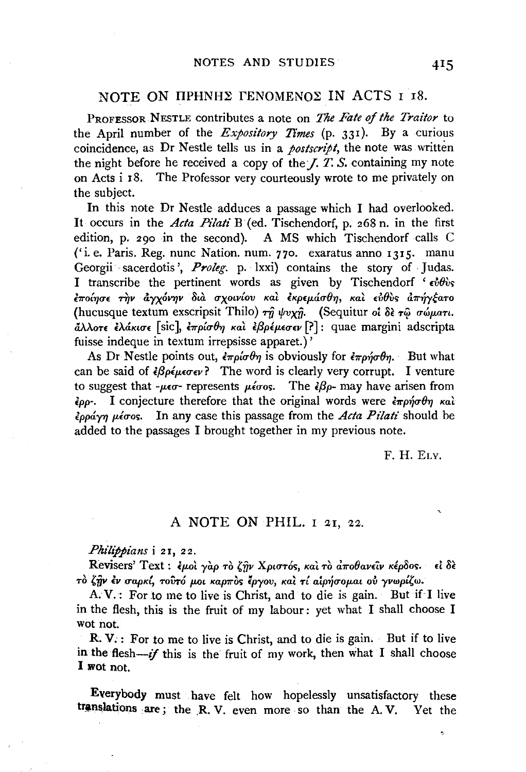## NOTE ON IIPHNHE FENOMENOE IN ACTS I 18.

PROFESSOR NESTLE contributes a note on *The Fate of the Traitor* to the April number of the *Expository Times* (p. 331). By a curious coincidence, as Dr Nestle tells us in a *postscript,* the note was written the night before he received a copy of the *J. T. S.* containing my note on Acts i 18. The Professor very courteously wrote to me privately on the subject.

In this note Dr Nestle adduces a passage which I had overlooked. It occurs in the *Acta Pilati* B (ed. Tischendorf, p. 268 n. in the first edition, p. 290 in the second). A MS which Tischendorf calls C ('i.e. Paris. Reg. nunc Nation. num. 770. exaratus anno 1315. manu Georgii sacerdotis', Proleg. p. lxxi) contains the story of Judas. I transcribe the pertinent words as given by Tischendorf '  $\epsilon v \theta v$ , *bro{'Y}U£ -r1}v tl')'XOV'Y}V 8ta uxotv{ov Kat EKP£JMLU()'YJ, Kat £1l()V,* a7r~y~a'TO (hucusque textum exscripsit Thilo) τη ψυχη. (Sequitur oi δε τω σώματι. cL\.AoT£ *£Atl.KuT£* [sic], *£1rp{u()'YJ Kat £{3plp.£u£v* [?] : quae margini adscripta fuisse indeque in textum irrepsisse apparet.) '

As Dr Nestle points out,  $\epsilon \pi \rho \omega \theta \eta$  is obviously for  $\epsilon \pi \rho \eta \sigma \theta \eta$ . But what can be said of  $\partial \rho \epsilon_{\mu} \epsilon_{\sigma} \epsilon_{\nu}$ ? The word is clearly very corrupt. I venture to suggest that  $-\mu\epsilon\sigma$ - represents  $\mu\epsilon\sigma$ os. The  $\epsilon\beta\rho$ - may have arisen from  $\epsilon_{\rho\rho}$ . I conjecture therefore that the original words were  $\epsilon_{\pi\rho\gamma\sigma} \theta_{\gamma}$  και *lpp&.'Y'YJ p.luo;.* In any case this passage from the *Acta Pi'lati* should be added to the passages I brought together in my previous note.

F. H. ELY.

v,

## A NOTE ON PHIL. I 21, 22.

## *Philippians* i 21, 22.

Revisers' Text : έμοι γαρ το ζήν Χριστός, και το αποθανείν κέρδος. εί δε To ζην έν σαρκί, τουτό μοι καρπος έργου, και τί αιρήσομαι ου γνωρίζω.

A. V. : For to me to live is Christ, and to die is gain. But if I live in the flesh, this is the fruit of my labour: yet what I shall choose I wot not.

R. V.: For to me to live is Christ, and to die is gain. But if to live in the flesh- $if$  this is the fruit of my work, then what I shall choose I wot not.

Everybody must have felt how hopelessly unsatisfactory these translations are; the R. V. even more so than the A. V. Yet the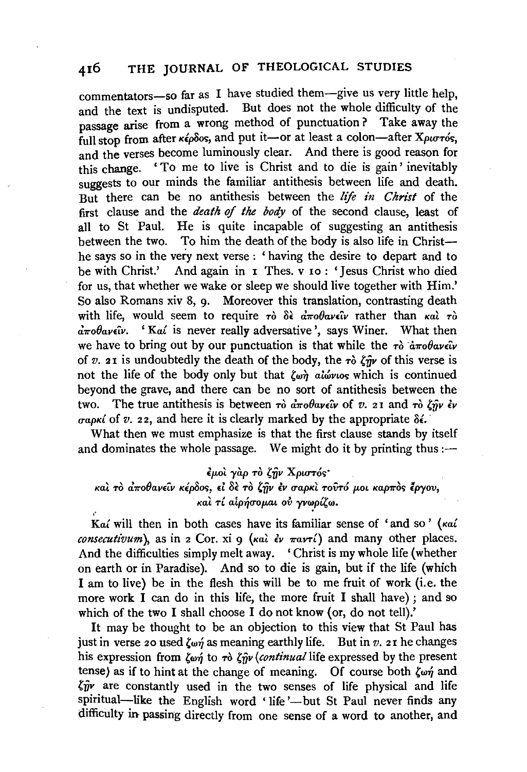commentators-so far as I have studied them-give us very little help, and the text is undisputed. But does not the whole difficulty of the passage arise from a wrong method of punctuation? Take away the full stop from after  $\kappa \epsilon \rho \delta$ os, and put it-or at least a colon-after *Xpurros*. and the verses become luminously clear. And there is good reason for this change. 'To me to live is Christ and to die is gain' inevitably suggests to our minds the familiar antithesis between life and death. But there can be no antithesis between the *life in Christ* of the first clause and the *death of the body* of the second clause, least of all to St Paul. He is quite incapable of suggesting an antithesis between the two. To him the death of the body is also life in Christhe says so in the very next verse ; ' having the desire to depart and to be with Christ.' And again in 1 Thes. v 10: 'Jesus Christ who died for us, that whether we wake or sleep we should live together with Him.' So also Romans xiv 8, 9. Moreover this translation, contrasting death with life, would seem to require  $\tau \delta$   $\delta \epsilon$   $\vec{a} \pi \partial \theta \alpha \epsilon \hat{\iota} \nu$  rather than  $\kappa \alpha \hat{i} \tau \delta$  $\vec{a} \pi \theta \vec{a} \nu \epsilon \hat{\nu}$ . 'Kai is never really adversative', says Winer. What then we have to bring out by our punctuation is that while the  $\tau_0$   $\dot{a}\pi_0\theta_a$ *v* $\epsilon_0$ *iv* of *v.* 21 is undoubtedly the death of the body, the  $\tau \delta$   $\ell m$  of this verse is not the life of the body only but that  $\ell_{\omega}$  all all all  $\ell_{\omega}$  all  $\ell_{\omega}$  is continued beyond the grave, and there can be no sort of antithesis between the two. The true antithesis is between  $\tau$ ò  $d\pi \theta d\theta$ *ave*  $\hat{u}$  of *v.* 21 and  $\tau$ ò  $\zeta \hat{n}$ *v*  $\epsilon \nu$ *rrapKt* of *v.* 22, and here it is clearly marked by the appropriate *8i.* ·

What then we must emphasize is that the first clause stands by itself and dominates the whole passage. We might do it by printing thus: $\leftarrow$ 

έμοι γάρ το ζήν Χριστός·

και το αποθανείν κέρδος, εί δε το ζήν έν σαρκι τούτό μοι καρπός έργου, και τί αιρήσομαι ού γνωρίζω.

*Kat* will then in both cases have its familiar sense of 'and so' *(Kat consecutivum*), as in 2 Cor. xi 9  $(\kappa a) \partial \psi \pi a \nu \tau \Delta$  and many other places. And the difficulties simply melt away. 'Christ is my whole life (whether on earth or in Paradise). And so to die is gain, but if the life (which I am to live) be in the flesh this will be to me fruit of work (i.e. the more work I can do in this life, the more fruit I shall have); and so which of the two I shall choose I do not know (or, do not tell).'

It may be thought to be an objection to this view that St Paul has just in verse 20 used  $\zeta_{\omega\eta}$  as meaning earthly life. But in  $v$ . 21 he changes his expression from  $\zeta_{w\gamma}$  to  $\tau \delta \zeta_{\gamma} \gamma$  *(continual life expressed by the present* tense) as if to hint at the change of meaning. Of course both  $\zeta_{\omega\gamma}$  and  $\zeta \hat{p}$  are constantly used in the two senses of life physical and life spiritual-like the English word 'life'-but St Paul never finds any difficulty in passing directly from one sense of a word to another, and